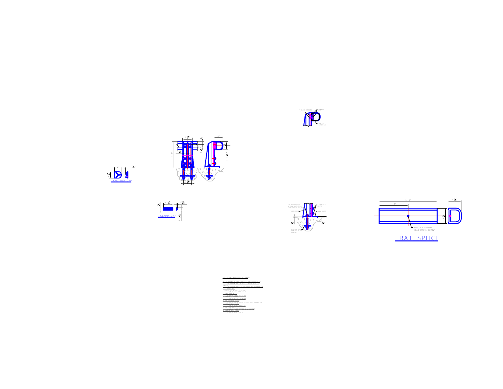











| E<br>i<br>মণ্                                                                                                                                                                                                                 |
|-------------------------------------------------------------------------------------------------------------------------------------------------------------------------------------------------------------------------------|
|                                                                                                                                                                                                                               |
|                                                                                                                                                                                                                               |
|                                                                                                                                                                                                                               |
|                                                                                                                                                                                                                               |
| MATERIAL SPECIFICATIONS:                                                                                                                                                                                                      |
| tS:<br>ALLOY 6061-TO<br>6061<br>T6<br>surro<br><b>TUSTE</b><br>ř,<br>304<br>ANNEALED<br>430.<br>i<br>Aqaalada<br>$\frac{75}{4563}$<br>TEEL HEX NUTS:<br>ASTM ASS GRADE<br>UUMNUM END CAPS<br>ASTM B26, 156-F<br><b>BETTER</b> |